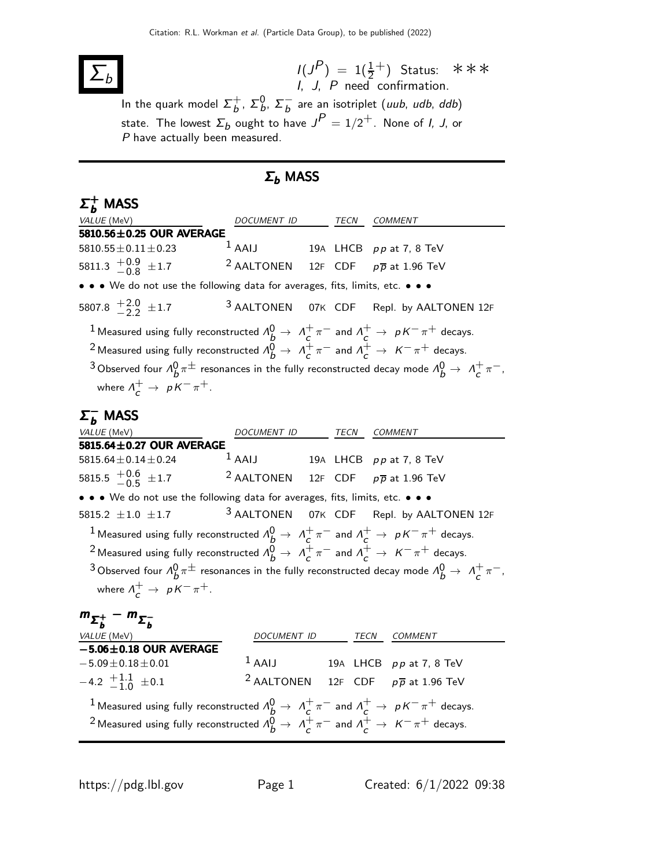## $\overline{\Sigma_b}$

 $I(J^P) = 1(\frac{1}{2}^+)$  $I, J, P$  need confirmation. Status: ∗∗∗

In the quark model  $\Sigma_{h}^{+}$  $_b^+$ ,  $\Sigma_b^0$ ,  $\Sigma_b^ \overline{b}$  are an isotriplet (*uub*, *udb*, *ddb*) state. The lowest  $\Sigma_b$  ought to have  $J^P=1/2^+$ . None of *I, J*, or P have actually been measured.

## $Σ_b$  MASS

## $\Sigma_{\bm b}^+$  MASS

| VALUE (MeV)                                                                                                                               | DOCUMENT ID                                               |  | TECN | <b>COMMENT</b>                                            |  |  |  |  |  |  |
|-------------------------------------------------------------------------------------------------------------------------------------------|-----------------------------------------------------------|--|------|-----------------------------------------------------------|--|--|--|--|--|--|
| 5810.56±0.25 OUR AVERAGE                                                                                                                  |                                                           |  |      |                                                           |  |  |  |  |  |  |
| $5810.55 \pm 0.11 \pm 0.23$                                                                                                               | $1$ AAIJ                                                  |  |      | 19A LHCB pp at 7, 8 TeV                                   |  |  |  |  |  |  |
| 5811.3 $\frac{+0.9}{-0.8}$ ± 1.7                                                                                                          | <sup>2</sup> AALTONEN 12F CDF $p\overline{p}$ at 1.96 TeV |  |      |                                                           |  |  |  |  |  |  |
| • • • We do not use the following data for averages, fits, limits, etc. • • •                                                             |                                                           |  |      |                                                           |  |  |  |  |  |  |
| 5807.8 $\frac{+2.0}{2.2}$ ± 1.7                                                                                                           | <sup>3</sup> AALTONEN                                     |  |      | 07K CDF Repl. by AALTONEN 12F                             |  |  |  |  |  |  |
| $1$ Measured using fully reconstructed $\Lambda_b^0\to~\Lambda_c^+\pi^-$ and $\Lambda_c^+\to~p\,K^-\pi^+$ decays.                         |                                                           |  |      |                                                           |  |  |  |  |  |  |
| <sup>2</sup> Measured using fully reconstructed $\Lambda_b^0 \to \Lambda_c^+ \pi^-$ and $\Lambda_c^+ \to K^- \pi^+$ decays.               |                                                           |  |      |                                                           |  |  |  |  |  |  |
| <sup>3</sup> Observed four $\Lambda_b^0 \pi^{\pm}$ resonances in the fully reconstructed decay mode $\Lambda_b^0 \to \Lambda_c^+ \pi^-$ , |                                                           |  |      |                                                           |  |  |  |  |  |  |
| where $\Lambda_c^+ \to pK^-\pi^+.$                                                                                                        |                                                           |  |      |                                                           |  |  |  |  |  |  |
|                                                                                                                                           |                                                           |  |      |                                                           |  |  |  |  |  |  |
| $\Sigma_{h}^{-}$ MASS                                                                                                                     |                                                           |  |      |                                                           |  |  |  |  |  |  |
| VALUE (MeV)<br>5815.64±0.27 OUR AVERAGE                                                                                                   | DOCUMENT ID TECN COMMENT                                  |  |      |                                                           |  |  |  |  |  |  |
| 5815.64 $\pm$ 0.14 $\pm$ 0.24                                                                                                             | $1$ AAIJ                                                  |  |      | 19A LHCB $pp$ at 7, 8 TeV                                 |  |  |  |  |  |  |
| 5815.5 $^{+0.6}_{-0.5}$ ± 1.7                                                                                                             | <sup>2</sup> AALTONEN 12F CDF $p\overline{p}$ at 1.96 TeV |  |      |                                                           |  |  |  |  |  |  |
| • • • We do not use the following data for averages, fits, limits, etc. • • •                                                             |                                                           |  |      |                                                           |  |  |  |  |  |  |
| 5815.2 $\pm 1.0 \pm 1.7$                                                                                                                  |                                                           |  |      | 3 AALTONEN 07K CDF Repl. by AALTONEN 12F                  |  |  |  |  |  |  |
| <sup>1</sup> Measured using fully reconstructed $\Lambda_b^0 \to \Lambda_c^+ \pi^-$ and $\Lambda_c^+ \to pK^-\pi^+$ decays.               |                                                           |  |      |                                                           |  |  |  |  |  |  |
| <sup>2</sup> Measured using fully reconstructed $\Lambda_b^0 \to \Lambda_c^+ \pi^-$ and $\Lambda_c^+ \to K^- \pi^+$ decays.               |                                                           |  |      |                                                           |  |  |  |  |  |  |
| <sup>3</sup> Observed four $\Lambda_b^0 \pi^{\pm}$ resonances in the fully reconstructed decay mode $\Lambda_b^0 \to \Lambda_c^+ \pi^-$ , |                                                           |  |      |                                                           |  |  |  |  |  |  |
| where $\Lambda_c^+ \to pK^-\pi^+$ .                                                                                                       |                                                           |  |      |                                                           |  |  |  |  |  |  |
|                                                                                                                                           |                                                           |  |      |                                                           |  |  |  |  |  |  |
| $m_{\Sigma_h^+} - m_{\Sigma_h^-}$                                                                                                         |                                                           |  |      |                                                           |  |  |  |  |  |  |
| VALUE (MeV)                                                                                                                               |                                                           |  |      | DOCUMENT ID TECN COMMENT                                  |  |  |  |  |  |  |
| $-5.06 \pm 0.18$ OUR AVERAGE                                                                                                              | $1$ AAIJ                                                  |  |      |                                                           |  |  |  |  |  |  |
| $-5.09 \pm 0.18 \pm 0.01$                                                                                                                 |                                                           |  |      | 19A LHCB pp at 7, 8 TeV                                   |  |  |  |  |  |  |
| $-4.2$ $+1.1$ $+0.1$                                                                                                                      |                                                           |  |      | <sup>2</sup> AALTONEN 12F CDF $p\overline{p}$ at 1.96 TeV |  |  |  |  |  |  |
| <sup>1</sup> Measured using fully reconstructed $\Lambda_b^0 \to \Lambda_c^+ \pi^-$ and $\Lambda_c^+ \to pK^-\pi^+$ decays.               |                                                           |  |      |                                                           |  |  |  |  |  |  |
| <sup>2</sup> Measured using fully reconstructed $\Lambda_b^0 \to \Lambda_c^+ \pi^-$ and $\Lambda_c^+ \to K^- \pi^+$ decays.               |                                                           |  |      |                                                           |  |  |  |  |  |  |
|                                                                                                                                           |                                                           |  |      |                                                           |  |  |  |  |  |  |